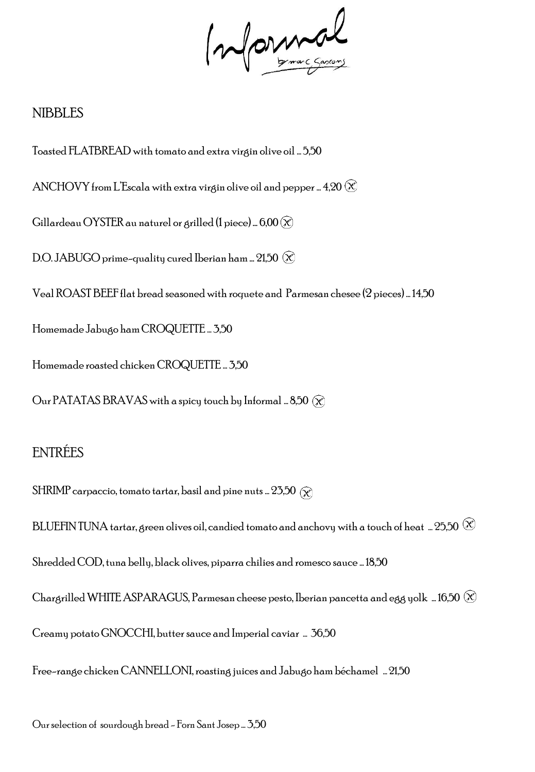Informal

#### NIBBLES

Toasted FLATBREAD with tomato and extra virgin olive oil … 5,50 ANCHOVY from L'Escala with extra virgin olive oil and pepper ... 4,20  $\otimes$ Gillardeau OYSTER au naturel or grilled (1 piece) ...  $6,00 \, (\chi)$ D.O. JABUGO prime-quality cured Iberian ham ...  $21,50$   $\infty$ Veal ROAST BEEF flat bread seasonedwith roquete and Parmesan chesee (2 pieces) … 14,50 Homemade Jabugo ham CROQUETTE … 3,50 Homemade roasted chicken CROQUETTE … 3,50 Our PATATAS BRAVAS with a spicy touch by Informal ... 8,50  $\circledR$ 

# ENTRÉES

SHRIMP carpaccio, tomato tartar, basil and pine nuts ...  $25.50\ (\widehat{\chi})$ 

BLUEFIN TUNA tartar, green olives oil, candied tomato and anchovy with a touch of heat … 25,50  $\circledR$ Shredded COD, tuna belly, black olives, piparra chilies and romesco sauce … 18,50

Chargrilled WHITE ASPARAGUS, Parmesan cheese pesto, Iberian pancetta and egg yolk … 16,50  $\otimes$ 

Creamy potato GNOCCHI, butter sauce and Imperial caviar … 36,50

Free-range chicken CANNELLONI, roasting juices and Jabugo ham béchamel … 21,50